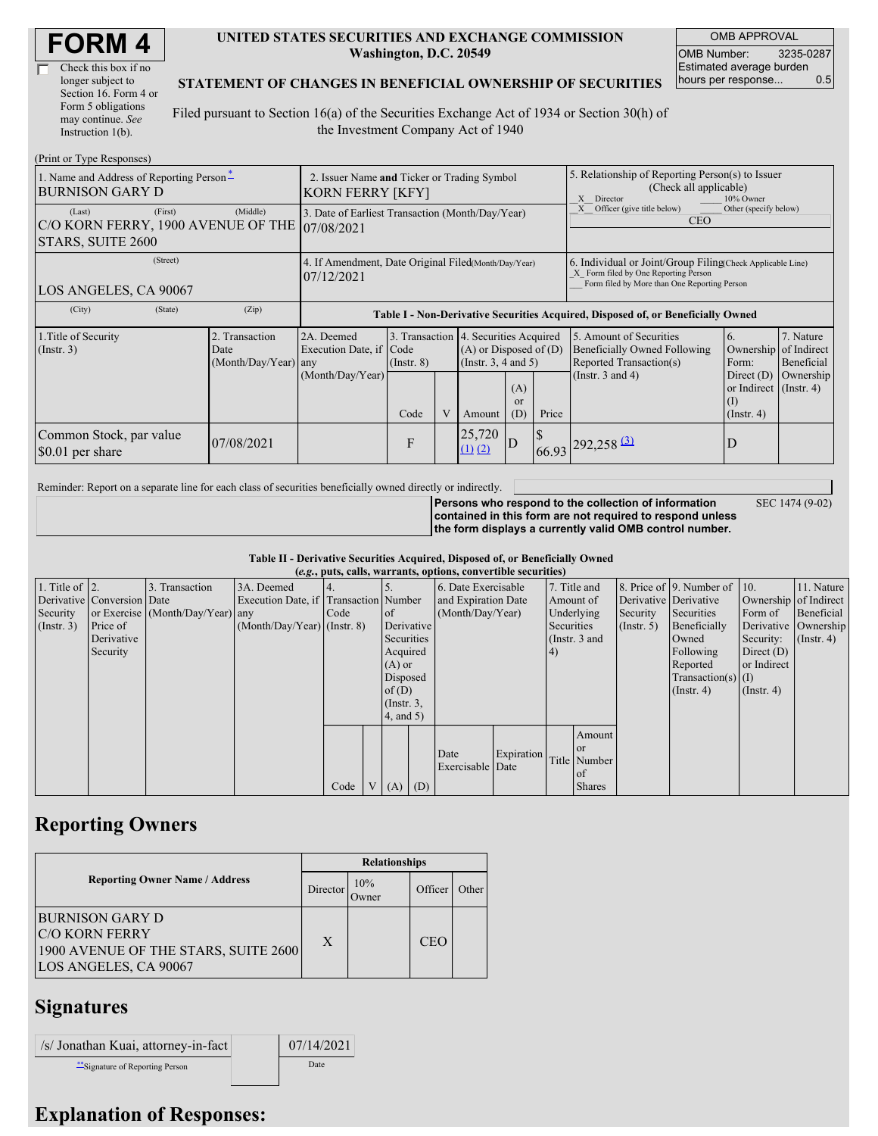| <b>FORM4</b> |
|--------------|
|--------------|

| Check this box if no  |
|-----------------------|
| longer subject to     |
| Section 16. Form 4 or |
| Form 5 obligations    |
| may continue. See     |
| Instruction 1(b).     |

#### **UNITED STATES SECURITIES AND EXCHANGE COMMISSION Washington, D.C. 20549**

OMB APPROVAL OMB Number: 3235-0287 Estimated average burden hours per response... 0.5

SEC 1474 (9-02)

#### **STATEMENT OF CHANGES IN BENEFICIAL OWNERSHIP OF SECURITIES**

Filed pursuant to Section 16(a) of the Securities Exchange Act of 1934 or Section 30(h) of the Investment Company Act of 1940

| (Print or Type Responses)                                                               |                                                                                  |                                                           |                         |   |                                                                                                                                               |                                                                                                          |                                                                                                                                                    |                                                                                                                    |                                                                                                              |                                                     |
|-----------------------------------------------------------------------------------------|----------------------------------------------------------------------------------|-----------------------------------------------------------|-------------------------|---|-----------------------------------------------------------------------------------------------------------------------------------------------|----------------------------------------------------------------------------------------------------------|----------------------------------------------------------------------------------------------------------------------------------------------------|--------------------------------------------------------------------------------------------------------------------|--------------------------------------------------------------------------------------------------------------|-----------------------------------------------------|
| 1. Name and Address of Reporting Person-<br><b>BURNISON GARY D</b>                      | 2. Issuer Name and Ticker or Trading Symbol<br><b>KORN FERRY [KFY]</b>           |                                                           |                         |   |                                                                                                                                               | 5. Relationship of Reporting Person(s) to Issuer<br>(Check all applicable)<br>X<br>Director<br>10% Owner |                                                                                                                                                    |                                                                                                                    |                                                                                                              |                                                     |
| (First)<br>(Last)<br>C/O KORN FERRY, 1900 AVENUE OF THE 07/08/2021<br>STARS, SUITE 2600 | 3. Date of Earliest Transaction (Month/Day/Year)                                 |                                                           |                         |   |                                                                                                                                               |                                                                                                          | Officer (give title below)<br>Other (specify below)<br><b>CEO</b>                                                                                  |                                                                                                                    |                                                                                                              |                                                     |
| (Street)<br>LOS ANGELES, CA 90067                                                       | 4. If Amendment, Date Original Filed(Month/Day/Year)<br>07/12/2021               |                                                           |                         |   |                                                                                                                                               |                                                                                                          | 6. Individual or Joint/Group Filing(Check Applicable Line)<br>X Form filed by One Reporting Person<br>Form filed by More than One Reporting Person |                                                                                                                    |                                                                                                              |                                                     |
| (City)<br>(State)                                                                       | Table I - Non-Derivative Securities Acquired, Disposed of, or Beneficially Owned |                                                           |                         |   |                                                                                                                                               |                                                                                                          |                                                                                                                                                    |                                                                                                                    |                                                                                                              |                                                     |
| 1. Title of Security<br>(Insert. 3)                                                     | 2. Transaction<br>Date<br>(Month/Day/Year) any                                   | 2A. Deemed<br>Execution Date, if Code<br>(Month/Day/Year) | $($ Instr. $8)$<br>Code | V | 3. Transaction 4. Securities Acquired<br>$(A)$ or Disposed of $(D)$<br>(Insert. 3, 4 and 5)<br>(A)<br><sub>or</sub><br>(D)<br>Price<br>Amount |                                                                                                          |                                                                                                                                                    | 5. Amount of Securities<br><b>Beneficially Owned Following</b><br>Reported Transaction(s)<br>(Instr. $3$ and $4$ ) | 6.<br>Ownership<br>Form:<br>Direct $(D)$<br>or Indirect $($ Instr. 4 $)$<br>$\rm _{(1)}$<br>$($ Instr. 4 $)$ | 7. Nature<br>of Indirect<br>Beneficial<br>Ownership |
| Common Stock, par value<br>07/08/2021<br>\$0.01 per share                               |                                                                                  |                                                           | F                       |   | 25,720<br>$(1)$ $(2)$                                                                                                                         | ID                                                                                                       |                                                                                                                                                    | $66.93$ $292,258$ $3$                                                                                              | D                                                                                                            |                                                     |

Reminder: Report on a separate line for each class of securities beneficially owned directly or indirectly.

**Persons who respond to the collection of information contained in this form are not required to respond unless the form displays a currently valid OMB control number.**

**Table II - Derivative Securities Acquired, Disposed of, or Beneficially Owned**

|                        | (e.g., puts, calls, warrants, options, convertible securities) |                                  |                                       |      |  |                  |                  |                          |            |            |               |                       |                              |                       |                  |
|------------------------|----------------------------------------------------------------|----------------------------------|---------------------------------------|------|--|------------------|------------------|--------------------------|------------|------------|---------------|-----------------------|------------------------------|-----------------------|------------------|
| 1. Title of $\vert$ 2. |                                                                | 3. Transaction                   | 3A. Deemed                            |      |  |                  |                  | 6. Date Exercisable      |            |            | 7. Title and  |                       | 8. Price of 9. Number of 10. |                       | 11. Nature       |
|                        | Derivative Conversion Date                                     |                                  | Execution Date, if Transaction Number |      |  |                  |                  | and Expiration Date      |            | Amount of  |               | Derivative Derivative |                              | Ownership of Indirect |                  |
| Security               |                                                                | or Exercise (Month/Day/Year) any |                                       | Code |  | of               | (Month/Day/Year) |                          | Underlying |            | Security      | Securities            | Form of                      | Beneficial            |                  |
| (Insert. 3)            | Price of                                                       |                                  | $(Month/Day/Year)$ (Instr. 8)         |      |  | Derivative       |                  |                          |            | Securities |               | $($ Instr. 5)         | Beneficially                 | Derivative Ownership  |                  |
|                        | Derivative                                                     |                                  |                                       |      |  | Securities       |                  |                          |            |            | (Instr. 3 and |                       | Owned                        | Security:             | $($ Instr. 4 $)$ |
|                        | Security                                                       |                                  |                                       |      |  | Acquired         |                  |                          |            | 4)         |               |                       | Following                    | Direct $(D)$          |                  |
|                        |                                                                |                                  |                                       |      |  | $(A)$ or         |                  |                          |            |            |               |                       | Reported                     | or Indirect           |                  |
|                        |                                                                |                                  |                                       |      |  | Disposed         |                  |                          |            |            |               |                       | $Transaction(s)$ (I)         |                       |                  |
|                        |                                                                |                                  |                                       |      |  | of(D)            |                  |                          |            |            |               |                       | $($ Instr. 4 $)$             | $($ Instr. 4 $)$      |                  |
|                        |                                                                |                                  |                                       |      |  | $($ Instr. $3$ , |                  |                          |            |            |               |                       |                              |                       |                  |
|                        |                                                                |                                  |                                       |      |  | 4, and 5)        |                  |                          |            |            |               |                       |                              |                       |                  |
|                        |                                                                |                                  |                                       |      |  |                  |                  |                          |            |            | Amount        |                       |                              |                       |                  |
|                        |                                                                |                                  |                                       |      |  |                  |                  |                          | Expiration |            | <sub>or</sub> |                       |                              |                       |                  |
|                        |                                                                |                                  |                                       |      |  |                  |                  | Date<br>Exercisable Date |            |            | Title Number  |                       |                              |                       |                  |
|                        |                                                                |                                  |                                       |      |  |                  |                  |                          |            |            | of            |                       |                              |                       |                  |
|                        |                                                                |                                  |                                       | Code |  | $(A)$ $(D)$      |                  |                          |            |            | <b>Shares</b> |                       |                              |                       |                  |

## **Reporting Owners**

|                                                                                                                  | <b>Relationships</b> |              |            |       |  |  |  |
|------------------------------------------------------------------------------------------------------------------|----------------------|--------------|------------|-------|--|--|--|
| <b>Reporting Owner Name / Address</b>                                                                            | Director             | 10%<br>Jwner | Officer    | Other |  |  |  |
| <b>BURNISON GARY D</b><br><b>C/O KORN FERRY</b><br>1900 AVENUE OF THE STARS, SUITE 2600<br>LOS ANGELES, CA 90067 | X                    |              | <b>CEO</b> |       |  |  |  |

### **Signatures**

| /s/ Jonathan Kuai, attorney-in-fact | 07/14/2021 |
|-------------------------------------|------------|
| Signature of Reporting Person       | Date       |

# **Explanation of Responses:**